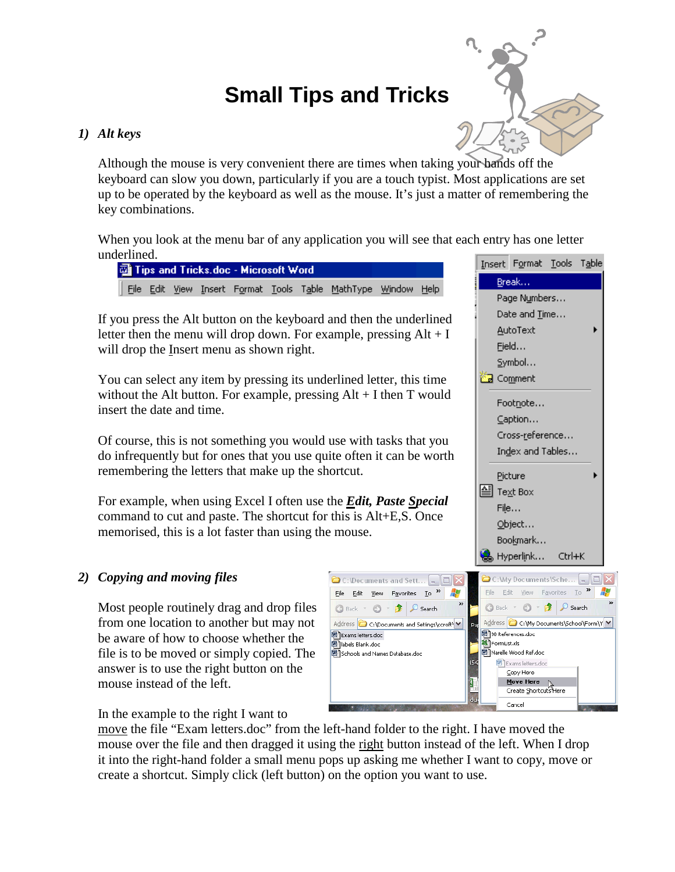# **Small Tips and Tricks**

## *1) Alt keys*

Although the mouse is very convenient there are times when taking your hands off the keyboard can slow you down, particularly if you are a touch typist. Most applications are set up to be operated by the keyboard as well as the mouse. It's just a matter of remembering the key combinations.

When you look at the menu bar of any application you will see that each entry has one letter underlined.

|  |  | Tips and Tricks.doc - Microsoft Word |  |                                                              |  |
|--|--|--------------------------------------|--|--------------------------------------------------------------|--|
|  |  |                                      |  | Eile Edit View Insert Format Tools Table MathType Window Hel |  |

If you press the Alt button on the keyboard and then the underlined letter then the menu will drop down. For example, pressing  $Alt + I$ will drop the Insert menu as shown right.

You can select any item by pressing its underlined letter, this time without the Alt button. For example, pressing Alt + I then T would insert the date and time.

Of course, this is not something you would use with tasks that you do infrequently but for ones that you use quite often it can be worth remembering the letters that make up the shortcut.

For example, when using Excel I often use the *Edit, Paste Special*  command to cut and paste. The shortcut for this is Alt+E,S. Once memorised, this is a lot faster than using the mouse.

# *2) Copying and moving files*

Most people routinely drag and drop files from one location to another but may not be aware of how to choose whether the file is to be moved or simply copied. The answer is to use the right button on the mouse instead of the left.



In the example to the right I want to

move the file "Exam letters.doc" from the left-hand folder to the right. I have moved the mouse over the file and then dragged it using the right button instead of the left. When I drop it into the right-hand folder a small menu pops up asking me whether I want to copy, move or create a shortcut. Simply click (left button) on the option you want to use.



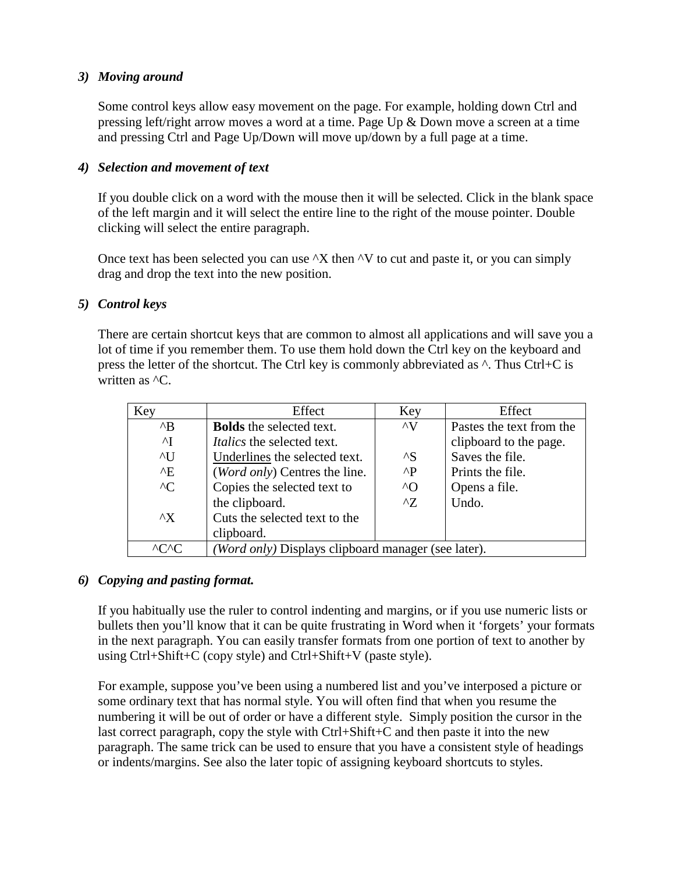## *3) Moving around*

Some control keys allow easy movement on the page. For example, holding down Ctrl and pressing left/right arrow moves a word at a time. Page Up & Down move a screen at a time and pressing Ctrl and Page Up/Down will move up/down by a full page at a time.

## *4) Selection and movement of text*

If you double click on a word with the mouse then it will be selected. Click in the blank space of the left margin and it will select the entire line to the right of the mouse pointer. Double clicking will select the entire paragraph.

Once text has been selected you can use  $^kX$  then  $^kV$  to cut and paste it, or you can simply drag and drop the text into the new position.

## *5) Control keys*

There are certain shortcut keys that are common to almost all applications and will save you a lot of time if you remember them. To use them hold down the Ctrl key on the keyboard and press the letter of the shortcut. The Ctrl key is commonly abbreviated as ^. Thus Ctrl+C is written as  ${}^{\wedge}C$ .

| Key            | Effect                                              | Key                | Effect                   |
|----------------|-----------------------------------------------------|--------------------|--------------------------|
| $^{\wedge}B$   | <b>Bolds</b> the selected text.                     | $\wedge V$         | Pastes the text from the |
| $\mathsf{A}$   | <i>Italics</i> the selected text.                   |                    | clipboard to the page.   |
| $\overline{U}$ | Underlines the selected text.                       | $^{\wedge}{\rm S}$ | Saves the file.          |
| $^{\wedge}E$   | (Word only) Centres the line.                       | $^{\wedge}P$       | Prints the file.         |
| $^{\wedge}$ C  | Copies the selected text to                         | $^{\wedge}$        | Opens a file.            |
|                | the clipboard.                                      | $^{\prime}7$       | Undo.                    |
| $^{\wedge}X$   | Cuts the selected text to the                       |                    |                          |
|                | clipboard.                                          |                    |                          |
| $\sqrt{C}$     | (Word only) Displays clipboard manager (see later). |                    |                          |

# *6) Copying and pasting format.*

If you habitually use the ruler to control indenting and margins, or if you use numeric lists or bullets then you'll know that it can be quite frustrating in Word when it 'forgets' your formats in the next paragraph. You can easily transfer formats from one portion of text to another by using Ctrl+Shift+C (copy style) and Ctrl+Shift+V (paste style).

For example, suppose you've been using a numbered list and you've interposed a picture or some ordinary text that has normal style. You will often find that when you resume the numbering it will be out of order or have a different style. Simply position the cursor in the last correct paragraph, copy the style with Ctrl+Shift+C and then paste it into the new paragraph. The same trick can be used to ensure that you have a consistent style of headings or indents/margins. See also the later topic of assigning keyboard shortcuts to styles.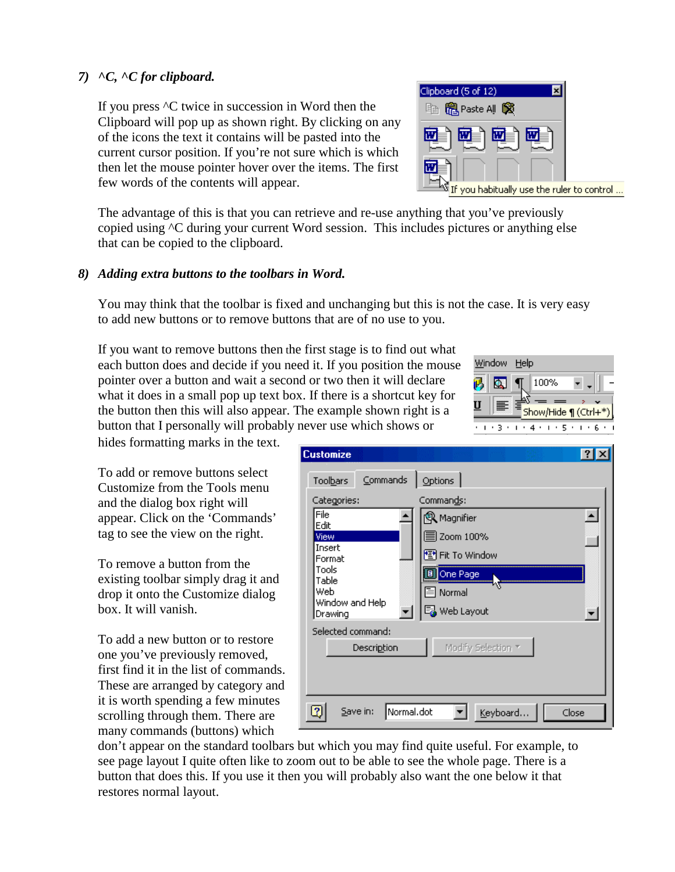# *7) ^C, ^C for clipboard.*

If you press ^C twice in succession in Word then the Clipboard will pop up as shown right. By clicking on any of the icons the text it contains will be pasted into the current cursor position. If you're not sure which is which then let the mouse pointer hover over the items. The first few words of the contents will appear.

The advantage of this is that you can retrieve and re-use anything that you've previously copied using ^C during your current Word session. This includes pictures or anything else that can be copied to the clipboard.

# *8) Adding extra buttons to the toolbars in Word.*

You may think that the toolbar is fixed and unchanging but this is not the case. It is very easy to add new buttons or to remove buttons that are of no use to you.

If you want to remove buttons then the first stage is to find out what each button does and decide if you need it. If you position the mouse pointer over a button and wait a second or two then it will declare what it does in a small pop up text box. If there is a shortcut key for the button then this will also appear. The example shown right is a button that I personally will probably never use which shows or

hides formatting marks in the text.

To add or remove buttons select Customize from the Tools menu and the dialog box right will appear. Click on the 'Commands' tag to see the view on the right.

To remove a button from the existing toolbar simply drag it and drop it onto the Customize dialog box. It will vanish.

To add a new button or to restore one you've previously removed, first find it in the list of commands. These are arranged by category and it is worth spending a few minutes scrolling through them. There are many commands (buttons) which

don't appear on the standard toolbars but which you may find quite useful. For example, to see page layout I quite often like to zoom out to be able to see the whole page. There is a button that does this. If you use it then you will probably also want the one below it that restores normal layout.

| <b>Customize</b>                                                                                         |                                                                                                             |                  |
|----------------------------------------------------------------------------------------------------------|-------------------------------------------------------------------------------------------------------------|------------------|
| Commands<br>Toolbars<br>Categories:<br>File<br>Edit<br>View<br>Insert<br>Format<br>Tools<br>Table<br>Web | Options<br>Commands:<br>Q Magnifier<br>≣ Zoom 100%<br><sup>*</sup> Fit To Window<br>One Page<br>Ε<br>Normal | $\blacktriangle$ |
| Window and Help<br>Drawing                                                                               | ■ Web Layout                                                                                                |                  |
| Selected command:<br>Description                                                                         | Modify Selection *                                                                                          |                  |
| Normal.dot<br>3<br>Save in:                                                                              | Keyboard                                                                                                    | Close            |



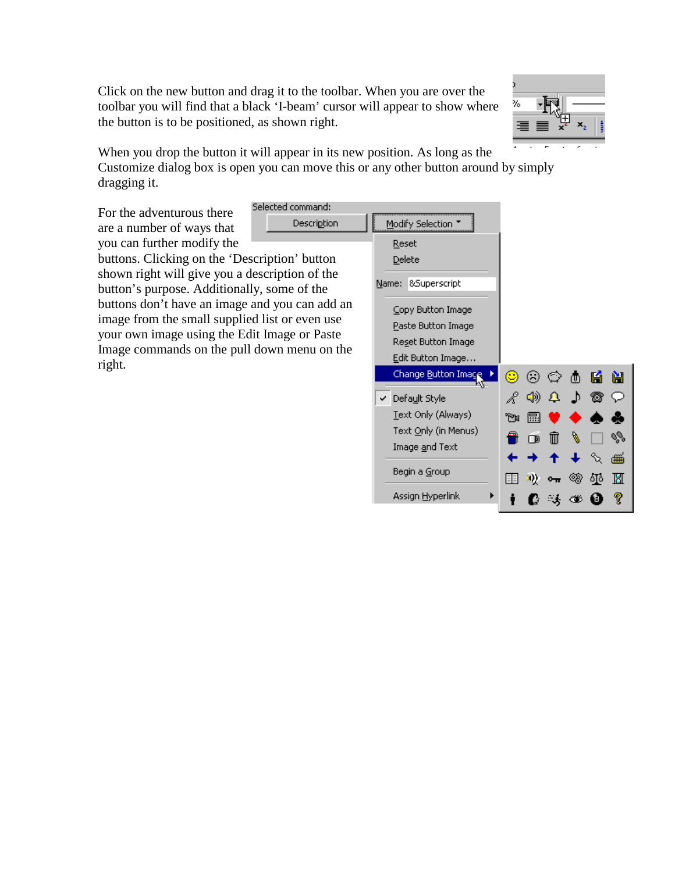Click on the new button and drag it to the toolbar. When you are over the toolbar you will find that a black 'I-beam' cursor will appear to show where the button is to be positioned, as shown right.



When you drop the button it will appear in its new position. As long as the Customize dialog box is open you can move this or any other button around by simply dragging it.

For the adventurous there are a number of ways that you can further modify the Selected command: **Description** 

buttons. Clicking on the 'Description' button shown right will give you a description of the button's purpose. Additionally, some of the buttons don't have an image and you can add an image from the small supplied list or even use your own image using the Edit Image or Paste Image commands on the pull down menu on the right.

| Modify Selection         |    |    |   |              |     |   |
|--------------------------|----|----|---|--------------|-----|---|
| <u>R</u> eset            |    |    |   |              |     |   |
| Delete                   |    |    |   |              |     |   |
| 8Superscript<br>Name:    |    |    |   |              |     |   |
| ⊆opy Button Image        |    |    |   |              |     |   |
| Paste Button Image       |    |    |   |              |     |   |
| Reset Button Image       |    |    |   |              |     |   |
| Edit Button Image        |    |    |   |              |     |   |
| Change Button Image      | O  | ⊛  | ⊙ | ₾            | Ю   | Ĥ |
| √ Defa <u>u</u> lt Style |    | ☜  | ▵ | $\mathbf{D}$ |     |   |
| Text Only (Always)       | 'M | 曧  |   |              |     |   |
| Text Only (in Menus)     |    | ŒD |   |              |     |   |
| Image <u>a</u> nd Text   |    |    |   |              |     | ∰ |
| Begin a Group            |    |    |   | ⊛            | ٥١٥ | M |
| Assign <u>H</u> yperlink |    |    |   | œ            | в   |   |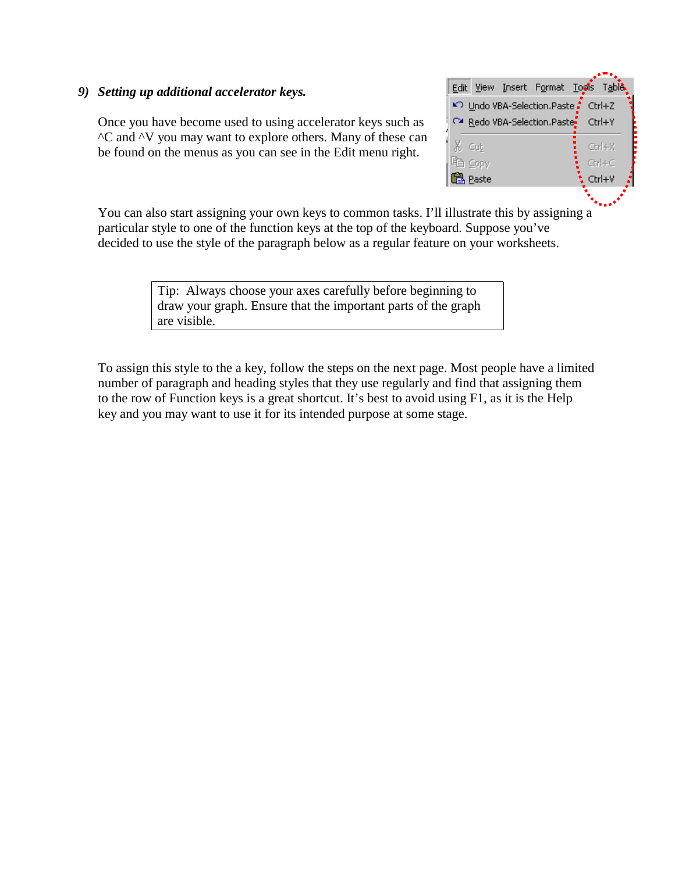#### *9) Setting up additional accelerator keys.*

Once you have become used to using accelerator keys such as ^C and ^V you may want to explore others. Many of these can be found on the menus as you can see in the Edit menu right.



You can also start assigning your own keys to common tasks. I'll illustrate this by assigning a particular style to one of the function keys at the top of the keyboard. Suppose you've decided to use the style of the paragraph below as a regular feature on your worksheets.

> Tip: Always choose your axes carefully before beginning to draw your graph. Ensure that the important parts of the graph are visible.

To assign this style to the a key, follow the steps on the next page. Most people have a limited number of paragraph and heading styles that they use regularly and find that assigning them to the row of Function keys is a great shortcut. It's best to avoid using F1, as it is the Help key and you may want to use it for its intended purpose at some stage.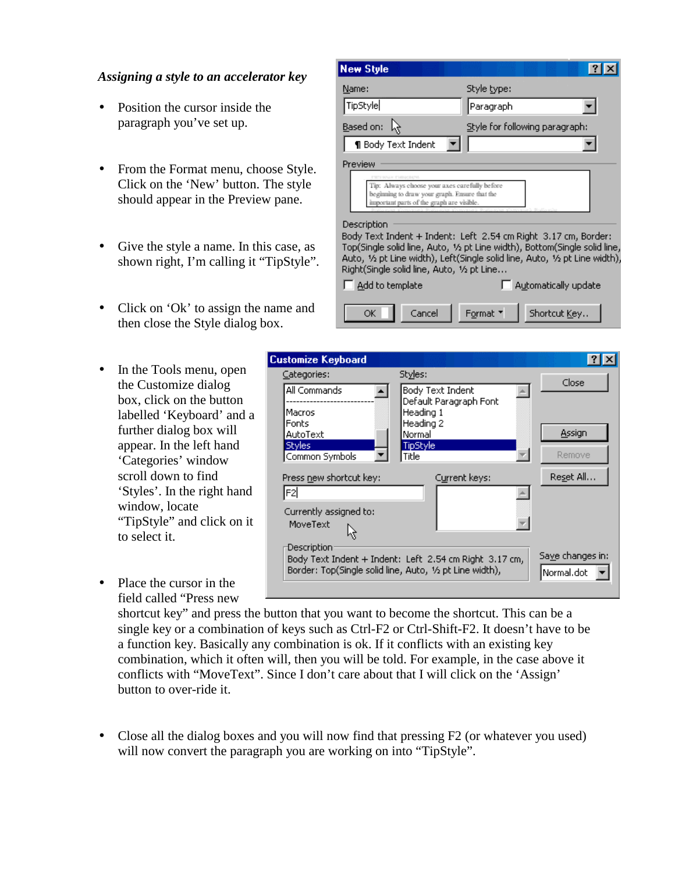## *Assigning a style to an accelerator key*

- Position the cursor inside the paragraph you've set up.
- From the Format menu, choose Style. Click on the 'New' button. The style should appear in the Preview pane.
- Give the style a name. In this case, as shown right, I'm calling it "TipStyle".
- Click on 'Ok' to assign the name and then close the Style dialog box.
- In the Tools menu, open the Customize dialog box, click on the button labelled 'Keyboard' and a further dialog box will appear. In the left hand 'Categories' window scroll down to find 'Styles'. In the right hand window, locate "TipStyle" and click on it to select it.
- $\Box$  Add to template Automatically update OK Cancel Format \* Shortcut Key.. **Customize Keyboard**  $|?|X|$ Categories: Styles: Close **All Commands Body Text Indent**  $\Delta$  $\blacktriangle$ Default Paragraph Font ------------Macros Heading 1 Fonts Heading 2 **Assign** AutoText |Normal| Styles: **TipStyle** Remove Common Symbols ∥Title Press new shortcut key: Reset All... Current keys: lF2l  $\triangle$ Currently assigned to: MoveText ÷ Description<sup>®</sup> Save changes in: Body Text Indent + Indent: Left 2.54 cm Right 3.17 cm,

Style type:

|Paragraph|

Body Text Indent + Indent: Left 2.54 cm Right 3.17 cm, Border: Top(Single solid line, Auto, 1/2 pt Line width), Bottom(Single solid line, Auto, 1/2 pt Line width), Left(Single solid line, Auto, 1/2 pt Line width),

▾

Tip: Always choose your axes carefully before beginning to draw your graph. Ensure that the important parts of the graph are visible

Right(Single solid line, Auto, 1/2 pt Line...

Style for following paragraph:

 $|?|X|$ 

 $\blacktriangledown$ 

 $\blacktriangledown$ 

Normal.dot

Place the cursor in the field called "Press new

> shortcut key" and press the button that you want to become the shortcut. This can be a single key or a combination of keys such as Ctrl-F2 or Ctrl-Shift-F2. It doesn't have to be a function key. Basically any combination is ok. If it conflicts with an existing key combination, which it often will, then you will be told. For example, in the case above it conflicts with "MoveText". Since I don't care about that I will click on the 'Assign' button to over-ride it.

Border: Top(Single solid line, Auto, 1/2 pt Line width),

**New Style** 

Name:

TipStyle

Preview

Description

Based on:  $\lambda$ 

**1** Body Text Indent

• Close all the dialog boxes and you will now find that pressing F2 (or whatever you used) will now convert the paragraph you are working on into "TipStyle".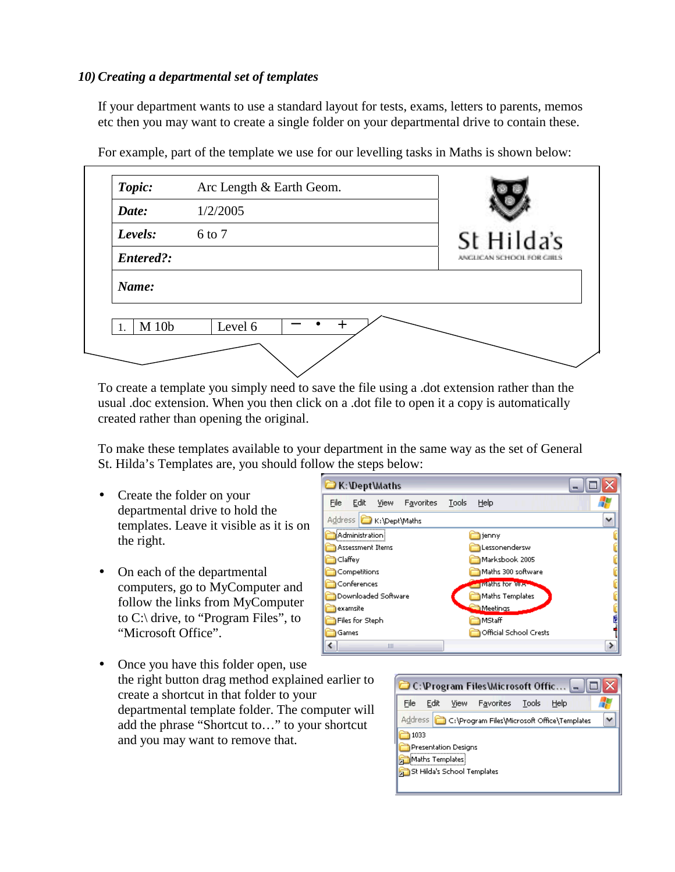## *10) Creating a departmental set of templates*

If your department wants to use a standard layout for tests, exams, letters to parents, memos etc then you may want to create a single folder on your departmental drive to contain these.

| Topic:    | Arc Length & Earth Geom. |                           |
|-----------|--------------------------|---------------------------|
| Date:     | 1/2/2005                 |                           |
| Levels:   | 6 to 7                   | St Hilda's                |
| Entered?: |                          | ANGLICAN SCHOOL FOR GIRLS |
| Name:     |                          |                           |
| M 10b     | Level 6                  |                           |
|           |                          |                           |

For example, part of the template we use for our levelling tasks in Maths is shown below:

To create a template you simply need to save the file using a .dot extension rather than the usual .doc extension. When you then click on a .dot file to open it a copy is automatically created rather than opening the original.

To make these templates available to your department in the same way as the set of General St. Hilda's Templates are, you should follow the steps below:

- Create the folder on your departmental drive to hold the templates. Leave it visible as it is on the right.
- On each of the departmental computers, go to MyComputer and follow the links from MyComputer to C:\ drive, to "Program Files", to "Microsoft Office".

| K:\Dept\Maths                                     |                         |  |  |  |  |  |  |  |
|---------------------------------------------------|-------------------------|--|--|--|--|--|--|--|
| File<br>Edit<br>Favorites<br>Tools<br><b>View</b> | Help                    |  |  |  |  |  |  |  |
| Address <b>C</b> K:\Dept\Maths                    | v                       |  |  |  |  |  |  |  |
| <b>i</b> Administration                           | jenny                   |  |  |  |  |  |  |  |
| Assessment Items                                  | Lessonendersw           |  |  |  |  |  |  |  |
| Claffey                                           | Marksbook 2005          |  |  |  |  |  |  |  |
| Competitions                                      | Maths 300 software      |  |  |  |  |  |  |  |
| Conferences                                       | <b>IMaths for Jules</b> |  |  |  |  |  |  |  |
| Downloaded Software                               | Maths Templates         |  |  |  |  |  |  |  |
| examsite                                          | <b>Meetings</b>         |  |  |  |  |  |  |  |
| Files for Steph                                   | MStaff                  |  |  |  |  |  |  |  |
| Games                                             | Official School Crests  |  |  |  |  |  |  |  |
| Ш                                                 |                         |  |  |  |  |  |  |  |

• Once you have this folder open, use the right button drag method explained earlier to create a shortcut in that folder to your departmental template folder. The computer will add the phrase "Shortcut to…" to your shortcut and you may want to remove that.

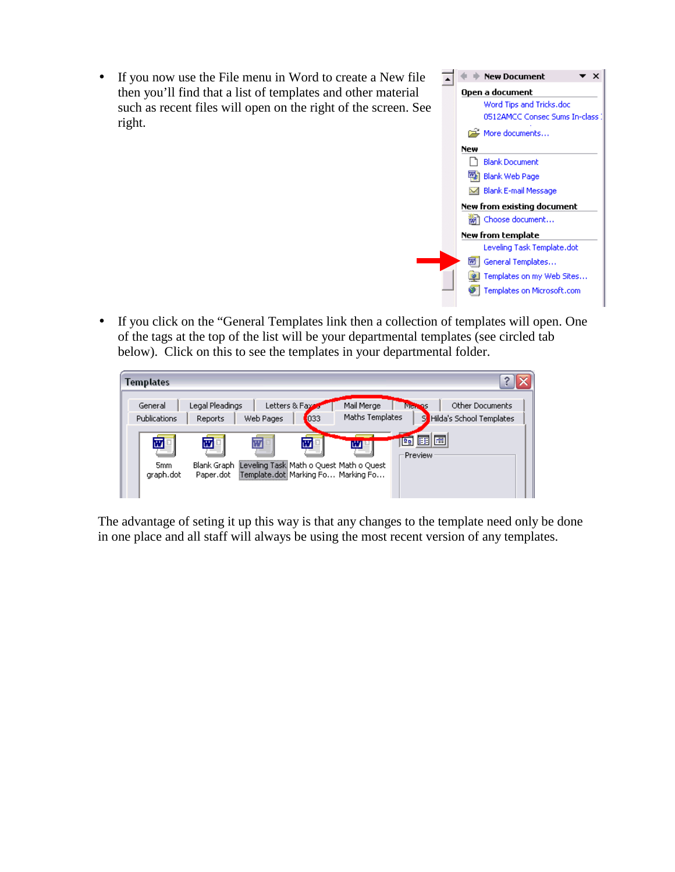

• If you click on the "General Templates link then a collection of templates will open. One of the tags at the top of the list will be your departmental templates (see circled tab below). Click on this to see the templates in your departmental folder.

 $\star \times$ 

**New from template** 

General Templates... <sup>3</sup> Templates on my Web Sites... Templates on Microsoft.com

Leveling Task Template.dot



The advantage of seting it up this way is that any changes to the template need only be done in one place and all staff will always be using the most recent version of any templates.